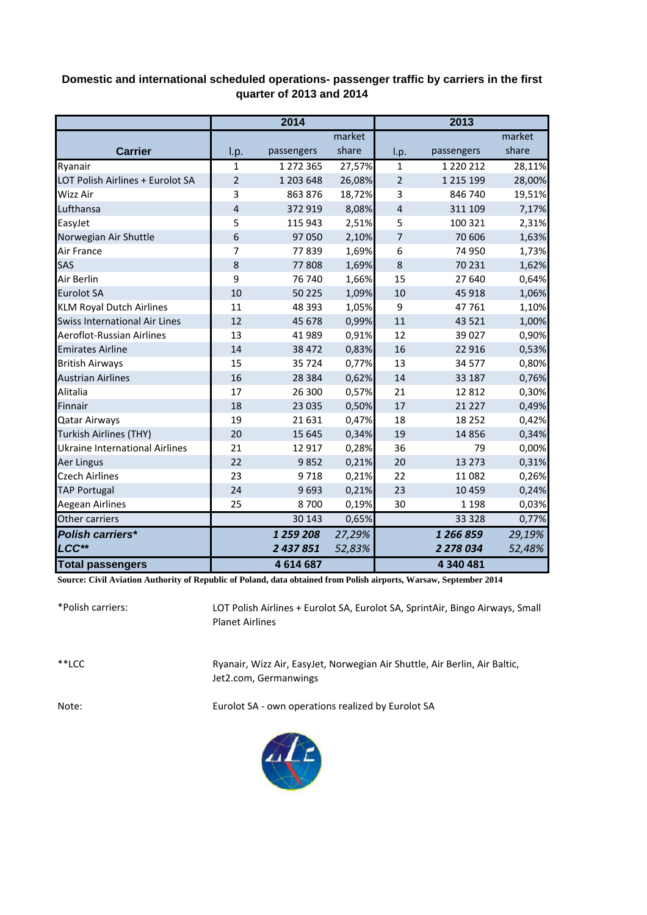## **Domestic and international scheduled operations- passenger traffic by carriers in the first quarter of 2013 and 2014**

|                                       | 2014           |            |        | 2013           |               |        |  |
|---------------------------------------|----------------|------------|--------|----------------|---------------|--------|--|
|                                       |                |            | market |                |               | market |  |
| <b>Carrier</b>                        | I.p.           | passengers | share  | l.p.           | passengers    | share  |  |
| Ryanair                               | $\mathbf{1}$   | 1 272 365  | 27,57% | $\mathbf{1}$   | 1 2 2 0 2 1 2 | 28,11% |  |
| LOT Polish Airlines + Eurolot SA      | $\overline{2}$ | 1 203 648  | 26,08% | $\overline{2}$ | 1 2 1 5 1 9 9 | 28,00% |  |
| Wizz Air                              | 3              | 863 876    | 18,72% | 3              | 846 740       | 19,51% |  |
| Lufthansa                             | 4              | 372 919    | 8,08%  | 4              | 311 109       | 7,17%  |  |
| EasyJet                               | 5              | 115 943    | 2,51%  | 5              | 100 321       | 2,31%  |  |
| Norwegian Air Shuttle                 | 6              | 97 050     | 2,10%  | 7              | 70 60 6       | 1,63%  |  |
| Air France                            | 7              | 77839      | 1,69%  | 6              | 74 950        | 1,73%  |  |
| SAS                                   | 8              | 77808      | 1,69%  | 8              | 70 231        | 1,62%  |  |
| Air Berlin                            | 9              | 76 740     | 1,66%  | 15             | 27 640        | 0,64%  |  |
| <b>Eurolot SA</b>                     | 10             | 50 2 2 5   | 1,09%  | 10             | 45 918        | 1,06%  |  |
| <b>KLM Royal Dutch Airlines</b>       | 11             | 48 393     | 1,05%  | 9              | 47 761        | 1,10%  |  |
| <b>Swiss International Air Lines</b>  | 12             | 45 678     | 0,99%  | 11             | 43 5 21       | 1,00%  |  |
| <b>Aeroflot-Russian Airlines</b>      | 13             | 41 989     | 0,91%  | 12             | 39 0 27       | 0,90%  |  |
| <b>Emirates Airline</b>               | 14             | 38 472     | 0,83%  | 16             | 22 9 16       | 0,53%  |  |
| <b>British Airways</b>                | 15             | 35 7 24    | 0,77%  | 13             | 34 577        | 0,80%  |  |
| <b>Austrian Airlines</b>              | 16             | 28 3 84    | 0,62%  | 14             | 33 187        | 0,76%  |  |
| Alitalia                              | 17             | 26 300     | 0,57%  | 21             | 12 8 12       | 0,30%  |  |
| Finnair                               | 18             | 23 0 35    | 0,50%  | 17             | 21 2 2 7      | 0,49%  |  |
| <b>Qatar Airways</b>                  | 19             | 21 631     | 0,47%  | 18             | 18 25 2       | 0,42%  |  |
| Turkish Airlines (THY)                | 20             | 15 645     | 0,34%  | 19             | 14 8 56       | 0,34%  |  |
| <b>Ukraine International Airlines</b> | 21             | 12 9 17    | 0,28%  | 36             | 79            | 0,00%  |  |
| Aer Lingus                            | 22             | 9852       | 0,21%  | 20             | 13 273        | 0,31%  |  |
| <b>Czech Airlines</b>                 | 23             | 9718       | 0,21%  | 22             | 11 082        | 0,26%  |  |
| <b>TAP Portugal</b>                   | 24             | 9693       | 0,21%  | 23             | 10 459        | 0,24%  |  |
| Aegean Airlines                       | 25             | 8700       | 0,19%  | 30             | 1 1 9 8       | 0,03%  |  |
| Other carriers                        |                | 30 143     | 0,65%  |                | 33 3 28       | 0,77%  |  |
| <b>Polish carriers*</b>               |                | 1 259 208  | 27,29% |                | 1 266 859     | 29,19% |  |
| LCC**                                 |                | 2 437 851  | 52,83% |                | 2 278 034     | 52,48% |  |
| <b>Total passengers</b>               |                | 4614687    |        |                | 4 340 481     |        |  |

**Source: Civil Aviation Authority of Republic of Poland, data obtained from Polish airports, Warsaw, September 2014**

\*Polish carriers: \*\*LCC Note: Eurolot SA - own operations realized by Eurolot SA Ryanair, Wizz Air, EasyJet, Norwegian Air Shuttle, Air Berlin, Air Baltic, Jet2.com, Germanwings LOT Polish Airlines + Eurolot SA, Eurolot SA, SprintAir, Bingo Airways, Small Planet Airlines